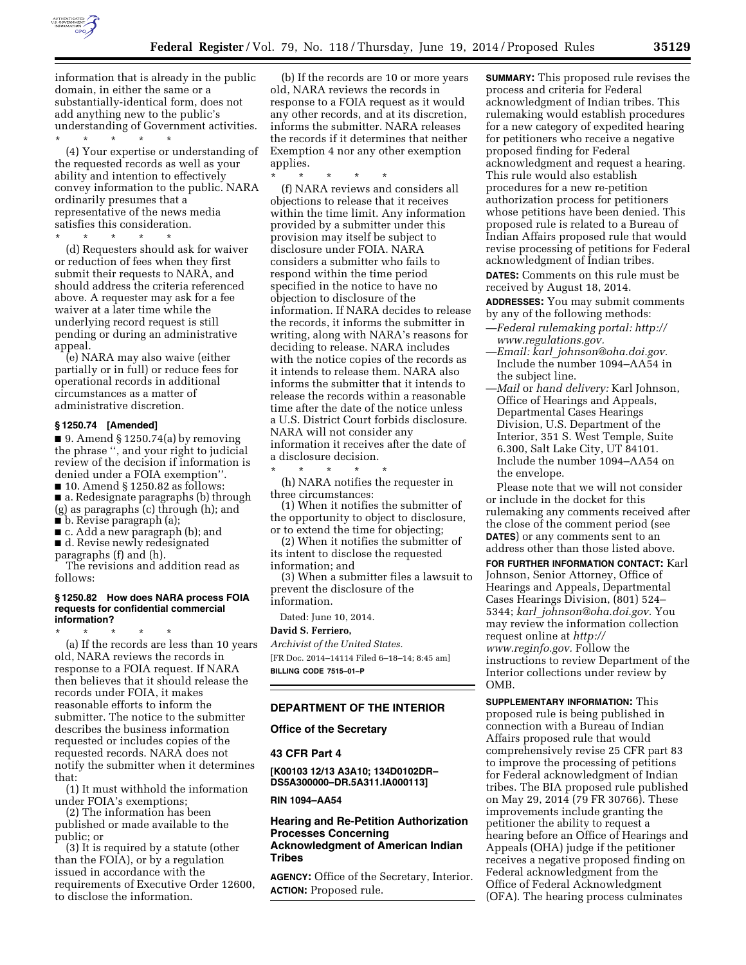

information that is already in the public domain, in either the same or a substantially-identical form, does not add anything new to the public's understanding of Government activities. \* \* \* \* \*

(4) Your expertise or understanding of the requested records as well as your ability and intention to effectively convey information to the public. NARA ordinarily presumes that a representative of the news media satisfies this consideration.

(d) Requesters should ask for waiver or reduction of fees when they first submit their requests to NARA, and should address the criteria referenced above. A requester may ask for a fee waiver at a later time while the underlying record request is still pending or during an administrative appeal.

\* \* \* \* \*

(e) NARA may also waive (either partially or in full) or reduce fees for operational records in additional circumstances as a matter of administrative discretion.

#### **§ 1250.74 [Amended]**

 $\Box$  9. Amend § 1250.74(a) by removing the phrase '', and your right to judicial review of the decision if information is denied under a FOIA exemption''. ■ 10. Amend § 1250.82 as follows: ■ a. Redesignate paragraphs (b) through (g) as paragraphs (c) through (h); and ■ b. Revise paragraph (a);

■ c. Add a new paragraph (b); and

■ d. Revise newly redesignated

paragraphs (f) and (h).

The revisions and addition read as follows:

#### **§ 1250.82 How does NARA process FOIA requests for confidential commercial information?**

\* \* \* \* \* (a) If the records are less than 10 years old, NARA reviews the records in response to a FOIA request. If NARA then believes that it should release the records under FOIA, it makes reasonable efforts to inform the submitter. The notice to the submitter describes the business information requested or includes copies of the requested records. NARA does not notify the submitter when it determines that:

(1) It must withhold the information under FOIA's exemptions;

(2) The information has been published or made available to the public; or

(3) It is required by a statute (other than the FOIA), or by a regulation issued in accordance with the requirements of Executive Order 12600, to disclose the information.

(b) If the records are 10 or more years old, NARA reviews the records in response to a FOIA request as it would any other records, and at its discretion, informs the submitter. NARA releases the records if it determines that neither Exemption 4 nor any other exemption applies.

\* \* \* \* \* (f) NARA reviews and considers all objections to release that it receives within the time limit. Any information provided by a submitter under this provision may itself be subject to disclosure under FOIA. NARA considers a submitter who fails to respond within the time period specified in the notice to have no objection to disclosure of the information. If NARA decides to release the records, it informs the submitter in writing, along with NARA's reasons for deciding to release. NARA includes with the notice copies of the records as it intends to release them. NARA also informs the submitter that it intends to release the records within a reasonable time after the date of the notice unless a U.S. District Court forbids disclosure. NARA will not consider any information it receives after the date of a disclosure decision.

\* \* \* \* \* (h) NARA notifies the requester in three circumstances:

(1) When it notifies the submitter of the opportunity to object to disclosure, or to extend the time for objecting;

(2) When it notifies the submitter of its intent to disclose the requested information; and

(3) When a submitter files a lawsuit to prevent the disclosure of the information.

Dated: June 10, 2014.

#### **David S. Ferriero,**

*Archivist of the United States.*  [FR Doc. 2014–14114 Filed 6–18–14; 8:45 am] **BILLING CODE 7515–01–P** 

#### **DEPARTMENT OF THE INTERIOR**

#### **Office of the Secretary**

# **43 CFR Part 4**

**[K00103 12/13 A3A10; 134D0102DR– DS5A300000–DR.5A311.IA000113]** 

**RIN 1094–AA54** 

**Hearing and Re-Petition Authorization Processes Concerning Acknowledgment of American Indian Tribes** 

**AGENCY:** Office of the Secretary, Interior. **ACTION:** Proposed rule.

**SUMMARY:** This proposed rule revises the process and criteria for Federal acknowledgment of Indian tribes. This rulemaking would establish procedures for a new category of expedited hearing for petitioners who receive a negative proposed finding for Federal acknowledgment and request a hearing. This rule would also establish procedures for a new re-petition authorization process for petitioners whose petitions have been denied. This proposed rule is related to a Bureau of Indian Affairs proposed rule that would revise processing of petitions for Federal acknowledgment of Indian tribes.

**DATES:** Comments on this rule must be received by August 18, 2014.

**ADDRESSES:** You may submit comments by any of the following methods:

- —*Federal rulemaking portal: [http://](http://www.regulations.gov) [www.regulations.gov.](http://www.regulations.gov)*
- —*Email: karl*\_*[johnson@oha.doi.gov.](mailto:karl_johnson@oha.doi.gov)*  Include the number 1094–AA54 in the subject line.
- —*Mail* or *hand delivery:* Karl Johnson, Office of Hearings and Appeals, Departmental Cases Hearings Division, U.S. Department of the Interior, 351 S. West Temple, Suite 6.300, Salt Lake City, UT 84101. Include the number 1094–AA54 on the envelope.

Please note that we will not consider or include in the docket for this rulemaking any comments received after the close of the comment period (see **DATES**) or any comments sent to an address other than those listed above.

**FOR FURTHER INFORMATION CONTACT:** Karl Johnson, Senior Attorney, Office of Hearings and Appeals, Departmental Cases Hearings Division, (801) 524– 5344; *karl*\_*[johnson@oha.doi.gov.](mailto:karl_johnson@oha.doi.gov)* You may review the information collection request online at *[http://](http://www.reginfo.gov) [www.reginfo.gov.](http://www.reginfo.gov)* Follow the instructions to review Department of the Interior collections under review by OMB.

**SUPPLEMENTARY INFORMATION:** This proposed rule is being published in connection with a Bureau of Indian Affairs proposed rule that would comprehensively revise 25 CFR part 83 to improve the processing of petitions for Federal acknowledgment of Indian tribes. The BIA proposed rule published on May 29, 2014 (79 FR 30766). These improvements include granting the petitioner the ability to request a hearing before an Office of Hearings and Appeals (OHA) judge if the petitioner receives a negative proposed finding on Federal acknowledgment from the Office of Federal Acknowledgment (OFA). The hearing process culminates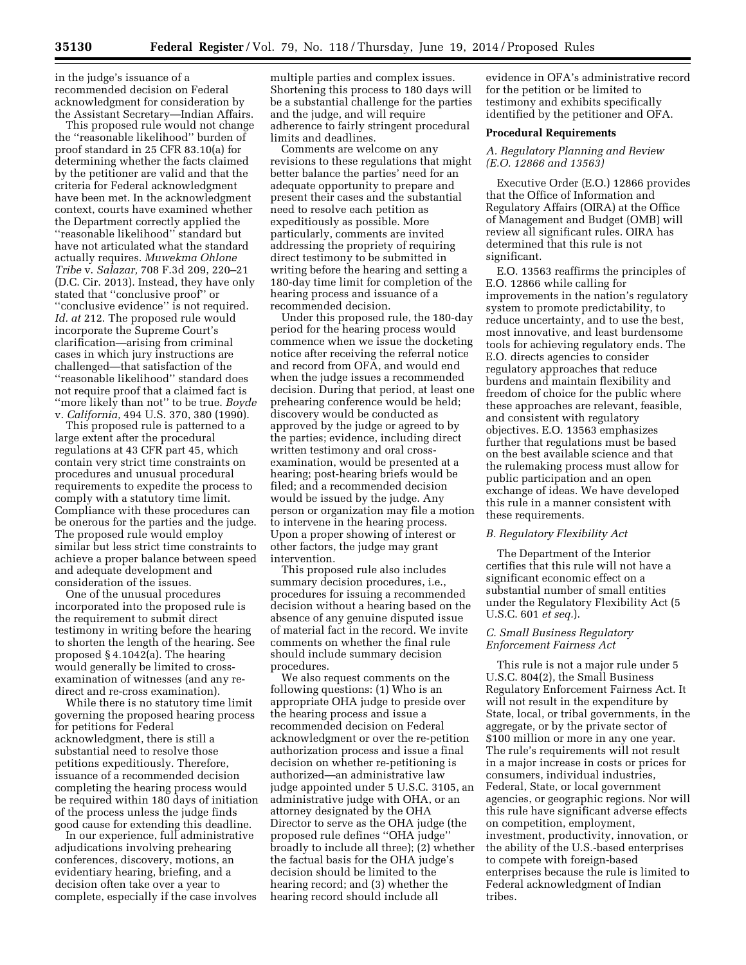in the judge's issuance of a recommended decision on Federal acknowledgment for consideration by the Assistant Secretary—Indian Affairs.

This proposed rule would not change the ''reasonable likelihood'' burden of proof standard in 25 CFR 83.10(a) for determining whether the facts claimed by the petitioner are valid and that the criteria for Federal acknowledgment have been met. In the acknowledgment context, courts have examined whether the Department correctly applied the ''reasonable likelihood'' standard but have not articulated what the standard actually requires. *Muwekma Ohlone Tribe* v. *Salazar,* 708 F.3d 209, 220–21 (D.C. Cir. 2013). Instead, they have only stated that ''conclusive proof'' or ''conclusive evidence'' is not required. *Id. at* 212. The proposed rule would incorporate the Supreme Court's clarification—arising from criminal cases in which jury instructions are challenged—that satisfaction of the ''reasonable likelihood'' standard does not require proof that a claimed fact is ''more likely than not'' to be true. *Boyde*  v. *California,* 494 U.S. 370, 380 (1990).

This proposed rule is patterned to a large extent after the procedural regulations at 43 CFR part 45, which contain very strict time constraints on procedures and unusual procedural requirements to expedite the process to comply with a statutory time limit. Compliance with these procedures can be onerous for the parties and the judge. The proposed rule would employ similar but less strict time constraints to achieve a proper balance between speed and adequate development and consideration of the issues.

One of the unusual procedures incorporated into the proposed rule is the requirement to submit direct testimony in writing before the hearing to shorten the length of the hearing. See proposed § 4.1042(a). The hearing would generally be limited to crossexamination of witnesses (and any redirect and re-cross examination).

While there is no statutory time limit governing the proposed hearing process for petitions for Federal acknowledgment, there is still a substantial need to resolve those petitions expeditiously. Therefore, issuance of a recommended decision completing the hearing process would be required within 180 days of initiation of the process unless the judge finds good cause for extending this deadline.

In our experience, full administrative adjudications involving prehearing conferences, discovery, motions, an evidentiary hearing, briefing, and a decision often take over a year to complete, especially if the case involves

multiple parties and complex issues. Shortening this process to 180 days will be a substantial challenge for the parties and the judge, and will require adherence to fairly stringent procedural limits and deadlines.

Comments are welcome on any revisions to these regulations that might better balance the parties' need for an adequate opportunity to prepare and present their cases and the substantial need to resolve each petition as expeditiously as possible. More particularly, comments are invited addressing the propriety of requiring direct testimony to be submitted in writing before the hearing and setting a 180-day time limit for completion of the hearing process and issuance of a recommended decision.

Under this proposed rule, the 180-day period for the hearing process would commence when we issue the docketing notice after receiving the referral notice and record from OFA, and would end when the judge issues a recommended decision. During that period, at least one prehearing conference would be held; discovery would be conducted as approved by the judge or agreed to by the parties; evidence, including direct written testimony and oral crossexamination, would be presented at a hearing; post-hearing briefs would be filed; and a recommended decision would be issued by the judge. Any person or organization may file a motion to intervene in the hearing process. Upon a proper showing of interest or other factors, the judge may grant intervention.

This proposed rule also includes summary decision procedures, i.e., procedures for issuing a recommended decision without a hearing based on the absence of any genuine disputed issue of material fact in the record. We invite comments on whether the final rule should include summary decision procedures.

We also request comments on the following questions: (1) Who is an appropriate OHA judge to preside over the hearing process and issue a recommended decision on Federal acknowledgment or over the re-petition authorization process and issue a final decision on whether re-petitioning is authorized—an administrative law judge appointed under 5 U.S.C. 3105, an administrative judge with OHA, or an attorney designated by the OHA Director to serve as the OHA judge (the proposed rule defines ''OHA judge'' broadly to include all three); (2) whether the factual basis for the OHA judge's decision should be limited to the hearing record; and (3) whether the hearing record should include all

evidence in OFA's administrative record for the petition or be limited to testimony and exhibits specifically identified by the petitioner and OFA.

## **Procedural Requirements**

# *A. Regulatory Planning and Review (E.O. 12866 and 13563)*

Executive Order (E.O.) 12866 provides that the Office of Information and Regulatory Affairs (OIRA) at the Office of Management and Budget (OMB) will review all significant rules. OIRA has determined that this rule is not significant.

E.O. 13563 reaffirms the principles of E.O. 12866 while calling for improvements in the nation's regulatory system to promote predictability, to reduce uncertainty, and to use the best, most innovative, and least burdensome tools for achieving regulatory ends. The E.O. directs agencies to consider regulatory approaches that reduce burdens and maintain flexibility and freedom of choice for the public where these approaches are relevant, feasible, and consistent with regulatory objectives. E.O. 13563 emphasizes further that regulations must be based on the best available science and that the rulemaking process must allow for public participation and an open exchange of ideas. We have developed this rule in a manner consistent with these requirements.

## *B. Regulatory Flexibility Act*

The Department of the Interior certifies that this rule will not have a significant economic effect on a substantial number of small entities under the Regulatory Flexibility Act (5 U.S.C. 601 *et seq.*).

# *C. Small Business Regulatory Enforcement Fairness Act*

This rule is not a major rule under 5 U.S.C. 804(2), the Small Business Regulatory Enforcement Fairness Act. It will not result in the expenditure by State, local, or tribal governments, in the aggregate, or by the private sector of \$100 million or more in any one year. The rule's requirements will not result in a major increase in costs or prices for consumers, individual industries, Federal, State, or local government agencies, or geographic regions. Nor will this rule have significant adverse effects on competition, employment, investment, productivity, innovation, or the ability of the U.S.-based enterprises to compete with foreign-based enterprises because the rule is limited to Federal acknowledgment of Indian tribes.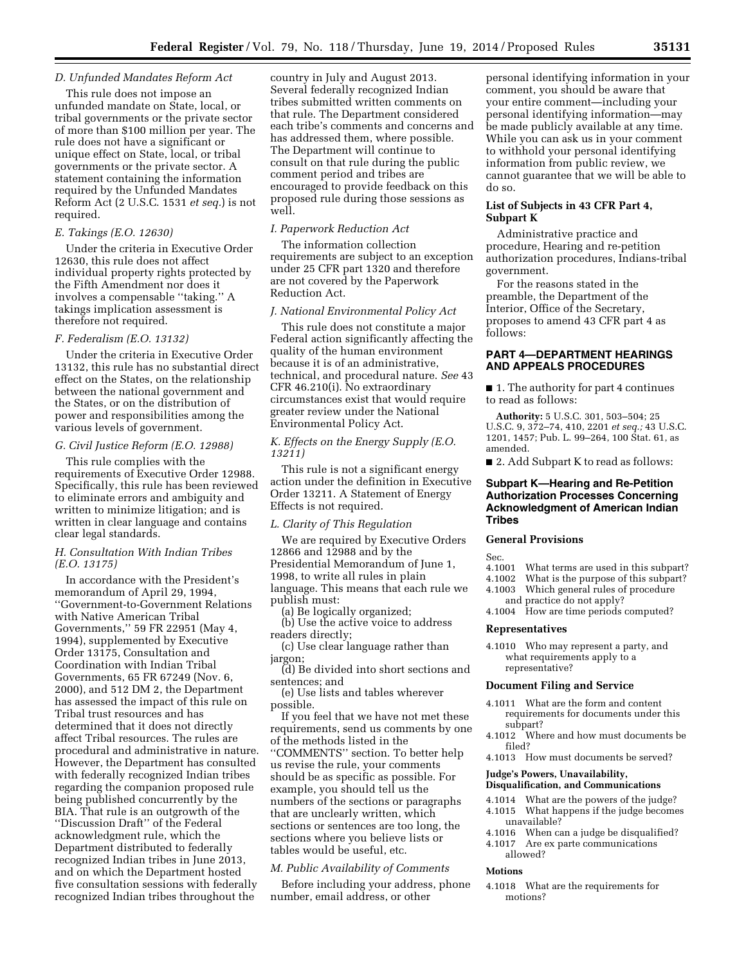# *D. Unfunded Mandates Reform Act*

This rule does not impose an unfunded mandate on State, local, or tribal governments or the private sector of more than \$100 million per year. The rule does not have a significant or unique effect on State, local, or tribal governments or the private sector. A statement containing the information required by the Unfunded Mandates Reform Act (2 U.S.C. 1531 *et seq.*) is not required.

## *E. Takings (E.O. 12630)*

Under the criteria in Executive Order 12630, this rule does not affect individual property rights protected by the Fifth Amendment nor does it involves a compensable ''taking.'' A takings implication assessment is therefore not required.

# *F. Federalism (E.O. 13132)*

Under the criteria in Executive Order 13132, this rule has no substantial direct effect on the States, on the relationship between the national government and the States, or on the distribution of power and responsibilities among the various levels of government.

#### *G. Civil Justice Reform (E.O. 12988)*

This rule complies with the requirements of Executive Order 12988. Specifically, this rule has been reviewed to eliminate errors and ambiguity and written to minimize litigation; and is written in clear language and contains clear legal standards.

# *H. Consultation With Indian Tribes (E.O. 13175)*

In accordance with the President's memorandum of April 29, 1994, ''Government-to-Government Relations with Native American Tribal Governments,'' 59 FR 22951 (May 4, 1994), supplemented by Executive Order 13175, Consultation and Coordination with Indian Tribal Governments, 65 FR 67249 (Nov. 6, 2000), and 512 DM 2, the Department has assessed the impact of this rule on Tribal trust resources and has determined that it does not directly affect Tribal resources. The rules are procedural and administrative in nature. However, the Department has consulted with federally recognized Indian tribes regarding the companion proposed rule being published concurrently by the BIA. That rule is an outgrowth of the ''Discussion Draft'' of the Federal acknowledgment rule, which the Department distributed to federally recognized Indian tribes in June 2013, and on which the Department hosted five consultation sessions with federally recognized Indian tribes throughout the

country in July and August 2013. Several federally recognized Indian tribes submitted written comments on that rule. The Department considered each tribe's comments and concerns and has addressed them, where possible. The Department will continue to consult on that rule during the public comment period and tribes are encouraged to provide feedback on this proposed rule during those sessions as well.

# *I. Paperwork Reduction Act*

The information collection requirements are subject to an exception under 25 CFR part 1320 and therefore are not covered by the Paperwork Reduction Act.

#### *J. National Environmental Policy Act*

This rule does not constitute a major Federal action significantly affecting the quality of the human environment because it is of an administrative, technical, and procedural nature. *See* 43 CFR 46.210(i). No extraordinary circumstances exist that would require greater review under the National Environmental Policy Act.

# *K. Effects on the Energy Supply (E.O. 13211)*

This rule is not a significant energy action under the definition in Executive Order 13211. A Statement of Energy Effects is not required.

#### *L. Clarity of This Regulation*

We are required by Executive Orders 12866 and 12988 and by the Presidential Memorandum of June 1, 1998, to write all rules in plain language. This means that each rule we publish must:

(a) Be logically organized;

(b) Use the active voice to address readers directly;

(c) Use clear language rather than jargon;

(d) Be divided into short sections and sentences; and

(e) Use lists and tables wherever possible.

If you feel that we have not met these requirements, send us comments by one of the methods listed in the ''COMMENTS'' section. To better help us revise the rule, your comments should be as specific as possible. For example, you should tell us the numbers of the sections or paragraphs that are unclearly written, which sections or sentences are too long, the sections where you believe lists or tables would be useful, etc.

# *M. Public Availability of Comments*

Before including your address, phone number, email address, or other

personal identifying information in your comment, you should be aware that your entire comment—including your personal identifying information—may be made publicly available at any time. While you can ask us in your comment to withhold your personal identifying information from public review, we cannot guarantee that we will be able to do so.

# **List of Subjects in 43 CFR Part 4, Subpart K**

Administrative practice and procedure, Hearing and re-petition authorization procedures, Indians-tribal government.

For the reasons stated in the preamble, the Department of the Interior, Office of the Secretary, proposes to amend 43 CFR part 4 as follows:

# **PART 4—DEPARTMENT HEARINGS AND APPEALS PROCEDURES**

■ 1. The authority for part 4 continues to read as follows:

**Authority:** 5 U.S.C. 301, 503–504; 25 U.S.C. 9, 372–74, 410, 2201 *et seq.;* 43 U.S.C. 1201, 1457; Pub. L. 99–264, 100 Stat. 61, as amended.

■ 2. Add Subpart K to read as follows:

# **Subpart K—Hearing and Re-Petition Authorization Processes Concerning Acknowledgment of American Indian Tribes**

# **General Provisions**

- Sec.<br>4.1001 What terms are used in this subpart?
- 4.1002 What is the purpose of this subpart?
- 4.1003 Which general rules of procedure
- and practice do not apply? 4.1004 How are time periods computed?

#### **Representatives**

4.1010 Who may represent a party, and what requirements apply to a representative?

#### **Document Filing and Service**

- 4.1011 What are the form and content requirements for documents under this subpart?
- 4.1012 Where and how must documents be filed?
- 4.1013 How must documents be served?

### **Judge's Powers, Unavailability, Disqualification, and Communications**

- 4.1014 What are the powers of the judge? 4.1015 What happens if the judge becomes unavailable?
- 4.1016 When can a judge be disqualified?
- 4.1017 Are ex parte communications allowed?

#### **Motions**

4.1018 What are the requirements for motions?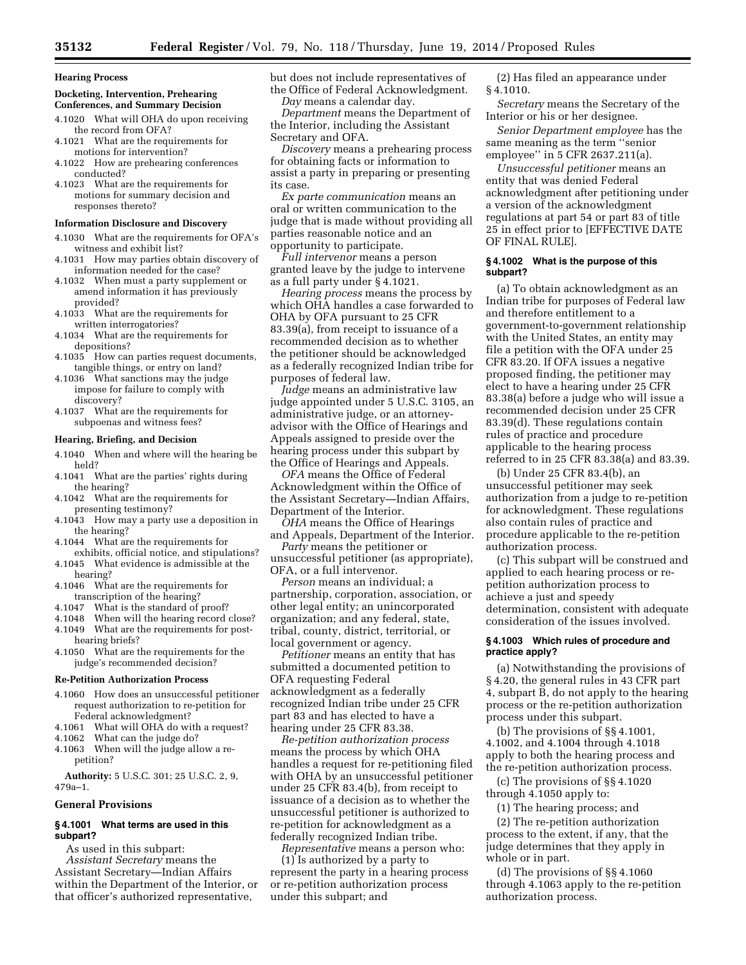#### **Hearing Process**

# **Docketing, Intervention, Prehearing Conferences, and Summary Decision**

- 4.1020 What will OHA do upon receiving the record from OFA?
- 4.1021 What are the requirements for motions for intervention?
- 4.1022 How are prehearing conferences conducted?
- 4.1023 What are the requirements for motions for summary decision and responses thereto?

#### **Information Disclosure and Discovery**

- 4.1030 What are the requirements for OFA's witness and exhibit list?
- 4.1031 How may parties obtain discovery of information needed for the case?
- 4.1032 When must a party supplement or amend information it has previously provided?
- 4.1033 What are the requirements for written interrogatories?
- 4.1034 What are the requirements for depositions?
- 4.1035 How can parties request documents, tangible things, or entry on land?
- 4.1036 What sanctions may the judge impose for failure to comply with discovery?
- 4.1037 What are the requirements for subpoenas and witness fees?

# **Hearing, Briefing, and Decision**

- 4.1040 When and where will the hearing be held?
- 4.1041 What are the parties' rights during the hearing?
- 4.1042 What are the requirements for presenting testimony?
- 4.1043 How may a party use a deposition in the hearing?
- 4.1044 What are the requirements for exhibits, official notice, and stipulations?
- 4.1045 What evidence is admissible at the hearing?
- 4.1046 What are the requirements for transcription of the hearing?
- 4.1047 What is the standard of proof?
- 4.1048 When will the hearing record close? 4.1049 What are the requirements for post-
- hearing briefs?
- 4.1050 What are the requirements for the judge's recommended decision?

# **Re-Petition Authorization Process**

- 4.1060 How does an unsuccessful petitioner request authorization to re-petition for Federal acknowledgment?<br>4.1061 What will OHA do wi
- What will OHA do with a request?
- 4.1062 What can the judge do?
- 4.1063 When will the judge allow a repetition?

**Authority:** 5 U.S.C. 301; 25 U.S.C. 2, 9, 479a–1.

#### **General Provisions**

# **§ 4.1001 What terms are used in this subpart?**

As used in this subpart: *Assistant Secretary* means the Assistant Secretary—Indian Affairs within the Department of the Interior, or that officer's authorized representative,

but does not include representatives of the Office of Federal Acknowledgment. *Day* means a calendar day.

*Department* means the Department of the Interior, including the Assistant Secretary and OFA.

*Discovery* means a prehearing process for obtaining facts or information to assist a party in preparing or presenting its case.

*Ex parte communication* means an oral or written communication to the judge that is made without providing all parties reasonable notice and an opportunity to participate.

*Full intervenor* means a person granted leave by the judge to intervene as a full party under § 4.1021.

*Hearing process* means the process by which OHA handles a case forwarded to OHA by OFA pursuant to 25 CFR 83.39(a), from receipt to issuance of a recommended decision as to whether the petitioner should be acknowledged as a federally recognized Indian tribe for purposes of federal law.

*Judge* means an administrative law judge appointed under 5 U.S.C. 3105, an administrative judge, or an attorneyadvisor with the Office of Hearings and Appeals assigned to preside over the hearing process under this subpart by the Office of Hearings and Appeals.

*OFA* means the Office of Federal Acknowledgment within the Office of the Assistant Secretary—Indian Affairs, Department of the Interior.

- *OHA* means the Office of Hearings and Appeals, Department of the Interior.
- *Party* means the petitioner or unsuccessful petitioner (as appropriate), OFA, or a full intervenor.

*Person* means an individual; a partnership, corporation, association, or other legal entity; an unincorporated organization; and any federal, state, tribal, county, district, territorial, or local government or agency.

*Petitioner* means an entity that has submitted a documented petition to OFA requesting Federal acknowledgment as a federally recognized Indian tribe under 25 CFR part 83 and has elected to have a hearing under 25 CFR 83.38.

*Re-petition authorization process*  means the process by which OHA handles a request for re-petitioning filed with OHA by an unsuccessful petitioner under 25 CFR 83.4(b), from receipt to issuance of a decision as to whether the unsuccessful petitioner is authorized to re-petition for acknowledgment as a federally recognized Indian tribe.

*Representative* means a person who:

(1) Is authorized by a party to represent the party in a hearing process or re-petition authorization process under this subpart; and

(2) Has filed an appearance under § 4.1010.

*Secretary* means the Secretary of the Interior or his or her designee.

*Senior Department employee* has the same meaning as the term ''senior employee'' in 5 CFR 2637.211(a).

*Unsuccessful petitioner* means an entity that was denied Federal acknowledgment after petitioning under a version of the acknowledgment regulations at part 54 or part 83 of title 25 in effect prior to [EFFECTIVE DATE OF FINAL RULE].

#### **§ 4.1002 What is the purpose of this subpart?**

(a) To obtain acknowledgment as an Indian tribe for purposes of Federal law and therefore entitlement to a government-to-government relationship with the United States, an entity may file a petition with the OFA under 25 CFR 83.20. If OFA issues a negative proposed finding, the petitioner may elect to have a hearing under 25 CFR 83.38(a) before a judge who will issue a recommended decision under 25 CFR 83.39(d). These regulations contain rules of practice and procedure applicable to the hearing process referred to in 25 CFR 83.38(a) and 83.39.

(b) Under 25 CFR 83.4(b), an unsuccessful petitioner may seek authorization from a judge to re-petition for acknowledgment. These regulations also contain rules of practice and procedure applicable to the re-petition authorization process.

(c) This subpart will be construed and applied to each hearing process or repetition authorization process to achieve a just and speedy determination, consistent with adequate consideration of the issues involved.

# **§ 4.1003 Which rules of procedure and practice apply?**

(a) Notwithstanding the provisions of § 4.20, the general rules in 43 CFR part 4, subpart B, do not apply to the hearing process or the re-petition authorization process under this subpart.

(b) The provisions of §§ 4.1001, 4.1002, and 4.1004 through 4.1018 apply to both the hearing process and the re-petition authorization process.

(c) The provisions of §§ 4.1020 through 4.1050 apply to:

(1) The hearing process; and

(2) The re-petition authorization process to the extent, if any, that the judge determines that they apply in whole or in part.

(d) The provisions of §§ 4.1060 through 4.1063 apply to the re-petition authorization process.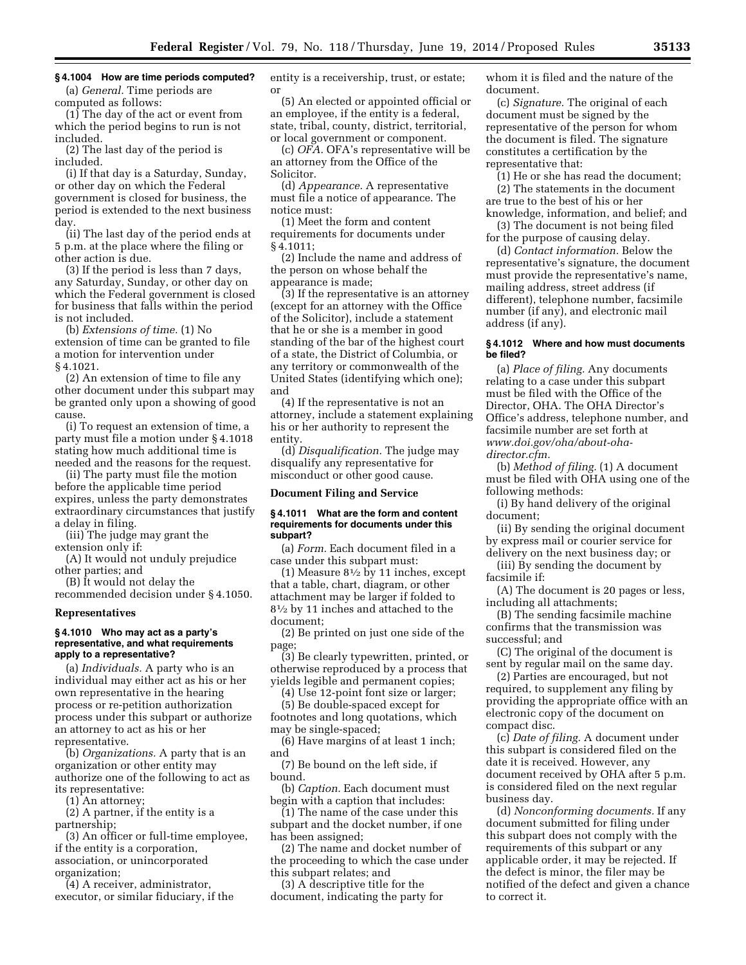# **§ 4.1004 How are time periods computed?**

(a) *General.* Time periods are computed as follows:

(1) The day of the act or event from which the period begins to run is not included.

(2) The last day of the period is included.

(i) If that day is a Saturday, Sunday, or other day on which the Federal government is closed for business, the period is extended to the next business day.

(ii) The last day of the period ends at 5 p.m. at the place where the filing or other action is due.

(3) If the period is less than 7 days, any Saturday, Sunday, or other day on which the Federal government is closed for business that falls within the period is not included.

(b) *Extensions of time.* (1) No extension of time can be granted to file a motion for intervention under § 4.1021.

(2) An extension of time to file any other document under this subpart may be granted only upon a showing of good cause.

(i) To request an extension of time, a party must file a motion under § 4.1018 stating how much additional time is needed and the reasons for the request.

(ii) The party must file the motion before the applicable time period expires, unless the party demonstrates extraordinary circumstances that justify a delay in filing.

(iii) The judge may grant the extension only if:

(A) It would not unduly prejudice other parties; and

(B) It would not delay the recommended decision under § 4.1050.

**Representatives** 

#### **§ 4.1010 Who may act as a party's representative, and what requirements apply to a representative?**

(a) *Individuals.* A party who is an individual may either act as his or her own representative in the hearing process or re-petition authorization process under this subpart or authorize an attorney to act as his or her representative.

(b) *Organizations.* A party that is an organization or other entity may authorize one of the following to act as its representative:

(1) An attorney;

(2) A partner, if the entity is a

partnership;

(3) An officer or full-time employee, if the entity is a corporation, association, or unincorporated

organization;

(4) A receiver, administrator, executor, or similar fiduciary, if the entity is a receivership, trust, or estate; or

(5) An elected or appointed official or an employee, if the entity is a federal, state, tribal, county, district, territorial, or local government or component.

(c) *OFA.* OFA's representative will be an attorney from the Office of the Solicitor.

(d) *Appearance.* A representative must file a notice of appearance. The notice must:

(1) Meet the form and content requirements for documents under § 4.1011;

(2) Include the name and address of the person on whose behalf the appearance is made;

(3) If the representative is an attorney (except for an attorney with the Office of the Solicitor), include a statement that he or she is a member in good standing of the bar of the highest court of a state, the District of Columbia, or any territory or commonwealth of the United States (identifying which one); and

(4) If the representative is not an attorney, include a statement explaining his or her authority to represent the entity.

(d) *Disqualification.* The judge may disqualify any representative for misconduct or other good cause.

#### **Document Filing and Service**

### **§ 4.1011 What are the form and content requirements for documents under this subpart?**

(a) *Form.* Each document filed in a case under this subpart must:

(1) Measure 81⁄2 by 11 inches, except that a table, chart, diagram, or other attachment may be larger if folded to 81⁄2 by 11 inches and attached to the document;

(2) Be printed on just one side of the page;

(3) Be clearly typewritten, printed, or otherwise reproduced by a process that yields legible and permanent copies;

(4) Use 12-point font size or larger;

(5) Be double-spaced except for footnotes and long quotations, which may be single-spaced;

(6) Have margins of at least 1 inch; and

(7) Be bound on the left side, if bound.

(b) *Caption.* Each document must begin with a caption that includes:

(1) The name of the case under this subpart and the docket number, if one has been assigned;

(2) The name and docket number of the proceeding to which the case under this subpart relates; and

(3) A descriptive title for the document, indicating the party for whom it is filed and the nature of the document.

(c) *Signature.* The original of each document must be signed by the representative of the person for whom the document is filed. The signature constitutes a certification by the representative that:

(1) He or she has read the document; (2) The statements in the document are true to the best of his or her

knowledge, information, and belief; and (3) The document is not being filed

for the purpose of causing delay. (d) *Contact information.* Below the representative's signature, the document must provide the representative's name, mailing address, street address (if different), telephone number, facsimile number (if any), and electronic mail address (if any).

## **§ 4.1012 Where and how must documents be filed?**

(a) *Place of filing.* Any documents relating to a case under this subpart must be filed with the Office of the Director, OHA. The OHA Director's Office's address, telephone number, and facsimile number are set forth at *[www.doi.gov/oha/about-oha](http://www.doi.gov/oha/about-oha-director.cfm)[director.cfm.](http://www.doi.gov/oha/about-oha-director.cfm)* 

(b) *Method of filing.* (1) A document must be filed with OHA using one of the following methods:

(i) By hand delivery of the original document;

(ii) By sending the original document by express mail or courier service for delivery on the next business day; or

(iii) By sending the document by facsimile if:

(A) The document is 20 pages or less, including all attachments;

(B) The sending facsimile machine confirms that the transmission was successful; and

(C) The original of the document is sent by regular mail on the same day.

(2) Parties are encouraged, but not required, to supplement any filing by providing the appropriate office with an electronic copy of the document on compact disc.

(c) *Date of filing.* A document under this subpart is considered filed on the date it is received. However, any document received by OHA after 5 p.m. is considered filed on the next regular business day.

(d) *Nonconforming documents.* If any document submitted for filing under this subpart does not comply with the requirements of this subpart or any applicable order, it may be rejected. If the defect is minor, the filer may be notified of the defect and given a chance to correct it.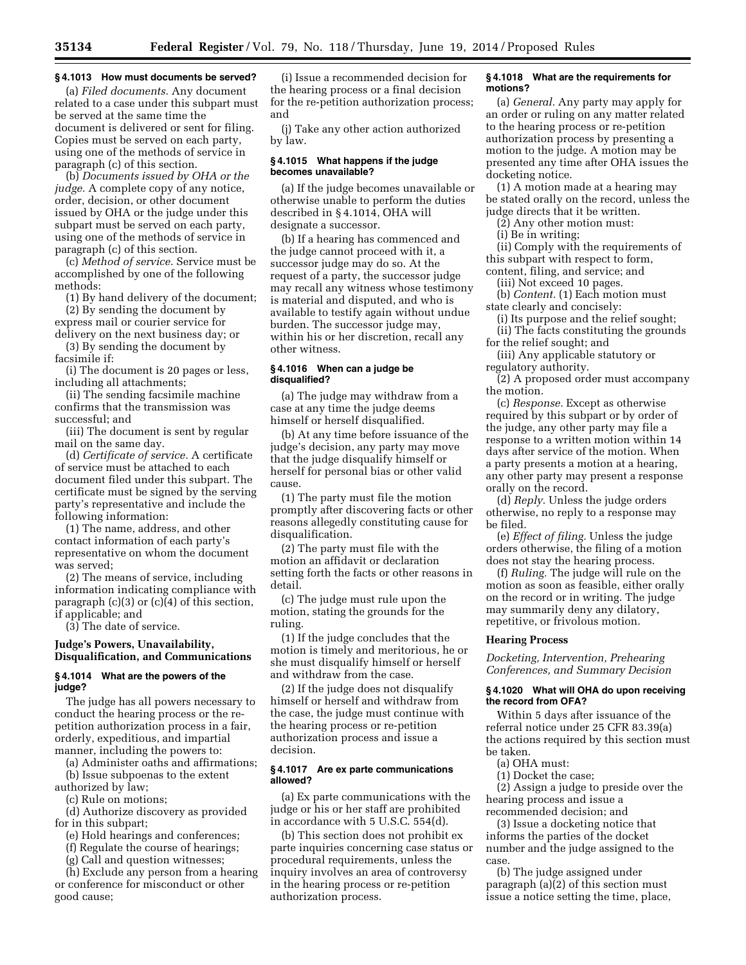# **§ 4.1013 How must documents be served?**

(a) *Filed documents.* Any document related to a case under this subpart must be served at the same time the document is delivered or sent for filing. Copies must be served on each party, using one of the methods of service in paragraph (c) of this section.

(b) *Documents issued by OHA or the judge.* A complete copy of any notice, order, decision, or other document issued by OHA or the judge under this subpart must be served on each party, using one of the methods of service in paragraph (c) of this section.

(c) *Method of service.* Service must be accomplished by one of the following methods:

(1) By hand delivery of the document; (2) By sending the document by

express mail or courier service for delivery on the next business day; or

(3) By sending the document by facsimile if:

(i) The document is 20 pages or less, including all attachments;

(ii) The sending facsimile machine confirms that the transmission was successful; and

(iii) The document is sent by regular mail on the same day.

(d) *Certificate of service.* A certificate of service must be attached to each document filed under this subpart. The certificate must be signed by the serving party's representative and include the following information:

(1) The name, address, and other contact information of each party's representative on whom the document was served;

(2) The means of service, including information indicating compliance with paragraph  $(c)(3)$  or  $(c)(4)$  of this section, if applicable; and

(3) The date of service.

# **Judge's Powers, Unavailability, Disqualification, and Communications**

# **§ 4.1014 What are the powers of the judge?**

The judge has all powers necessary to conduct the hearing process or the repetition authorization process in a fair, orderly, expeditious, and impartial manner, including the powers to:

(a) Administer oaths and affirmations; (b) Issue subpoenas to the extent

authorized by law;

(c) Rule on motions;

(d) Authorize discovery as provided for in this subpart;

(e) Hold hearings and conferences;

(f) Regulate the course of hearings;

(g) Call and question witnesses;

(h) Exclude any person from a hearing or conference for misconduct or other good cause;

(i) Issue a recommended decision for the hearing process or a final decision for the re-petition authorization process; and

(j) Take any other action authorized by law.

#### **§ 4.1015 What happens if the judge becomes unavailable?**

(a) If the judge becomes unavailable or otherwise unable to perform the duties described in § 4.1014, OHA will designate a successor.

(b) If a hearing has commenced and the judge cannot proceed with it, a successor judge may do so. At the request of a party, the successor judge may recall any witness whose testimony is material and disputed, and who is available to testify again without undue burden. The successor judge may, within his or her discretion, recall any other witness.

### **§ 4.1016 When can a judge be disqualified?**

(a) The judge may withdraw from a case at any time the judge deems himself or herself disqualified.

(b) At any time before issuance of the judge's decision, any party may move that the judge disqualify himself or herself for personal bias or other valid cause.

(1) The party must file the motion promptly after discovering facts or other reasons allegedly constituting cause for disqualification.

(2) The party must file with the motion an affidavit or declaration setting forth the facts or other reasons in detail.

(c) The judge must rule upon the motion, stating the grounds for the ruling.

(1) If the judge concludes that the motion is timely and meritorious, he or she must disqualify himself or herself and withdraw from the case.

(2) If the judge does not disqualify himself or herself and withdraw from the case, the judge must continue with the hearing process or re-petition authorization process and issue a decision.

# **§ 4.1017 Are ex parte communications allowed?**

(a) Ex parte communications with the judge or his or her staff are prohibited in accordance with 5 U.S.C. 554(d).

(b) This section does not prohibit ex parte inquiries concerning case status or procedural requirements, unless the inquiry involves an area of controversy in the hearing process or re-petition authorization process.

# **§ 4.1018 What are the requirements for motions?**

(a) *General.* Any party may apply for an order or ruling on any matter related to the hearing process or re-petition authorization process by presenting a motion to the judge. A motion may be presented any time after OHA issues the docketing notice.

(1) A motion made at a hearing may be stated orally on the record, unless the judge directs that it be written.

(2) Any other motion must:

(i) Be in writing;

(ii) Comply with the requirements of this subpart with respect to form, content, filing, and service; and

(iii) Not exceed 10 pages.

(b) *Content.* (1) Each motion must state clearly and concisely:

(i) Its purpose and the relief sought; (ii) The facts constituting the grounds

for the relief sought; and

(iii) Any applicable statutory or regulatory authority.

(2) A proposed order must accompany the motion.

(c) *Response.* Except as otherwise required by this subpart or by order of the judge, any other party may file a response to a written motion within 14 days after service of the motion. When a party presents a motion at a hearing, any other party may present a response orally on the record.

(d) *Reply.* Unless the judge orders otherwise, no reply to a response may be filed.

(e) *Effect of filing.* Unless the judge orders otherwise, the filing of a motion does not stay the hearing process.

(f) *Ruling.* The judge will rule on the motion as soon as feasible, either orally on the record or in writing. The judge may summarily deny any dilatory, repetitive, or frivolous motion.

## **Hearing Process**

*Docketing, Intervention, Prehearing Conferences, and Summary Decision* 

# **§ 4.1020 What will OHA do upon receiving the record from OFA?**

Within 5 days after issuance of the referral notice under 25 CFR 83.39(a) the actions required by this section must be taken.

#### (a) OHA must:

(1) Docket the case;

(2) Assign a judge to preside over the hearing process and issue a recommended decision; and

(3) Issue a docketing notice that informs the parties of the docket number and the judge assigned to the case.

(b) The judge assigned under paragraph (a)(2) of this section must issue a notice setting the time, place,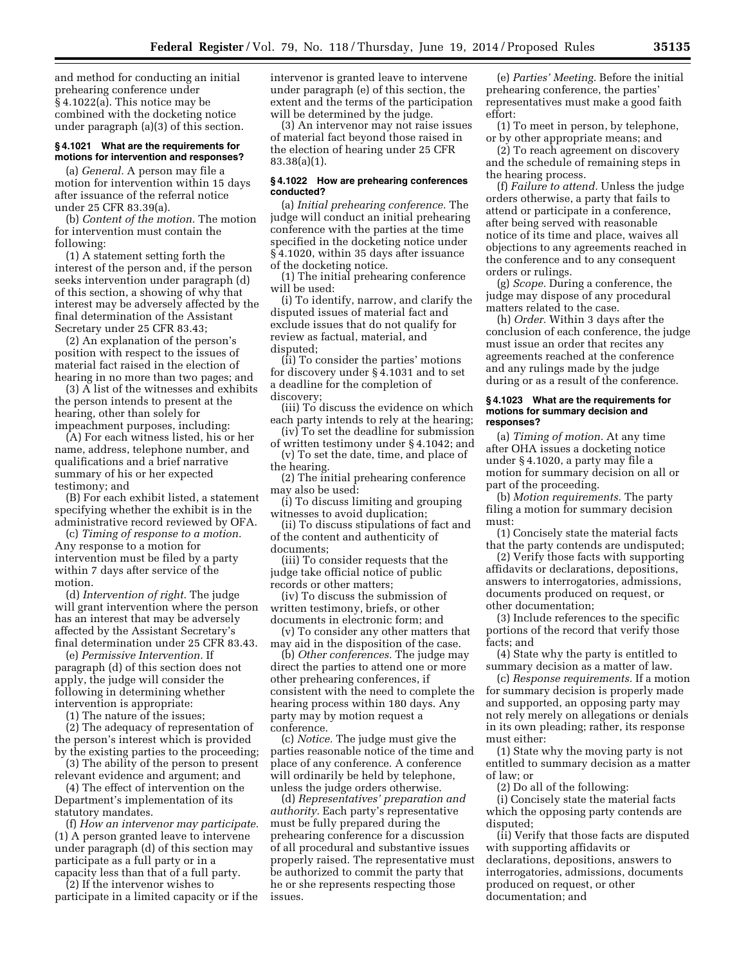and method for conducting an initial prehearing conference under § 4.1022(a). This notice may be combined with the docketing notice under paragraph (a)(3) of this section.

### **§ 4.1021 What are the requirements for motions for intervention and responses?**

(a) *General.* A person may file a motion for intervention within 15 days after issuance of the referral notice under 25 CFR 83.39(a).

(b) *Content of the motion.* The motion for intervention must contain the following:

(1) A statement setting forth the interest of the person and, if the person seeks intervention under paragraph (d) of this section, a showing of why that interest may be adversely affected by the final determination of the Assistant Secretary under 25 CFR 83.43;

(2) An explanation of the person's position with respect to the issues of material fact raised in the election of hearing in no more than two pages; and

(3) A list of the witnesses and exhibits the person intends to present at the hearing, other than solely for impeachment purposes, including:

(A) For each witness listed, his or her name, address, telephone number, and qualifications and a brief narrative summary of his or her expected testimony; and

(B) For each exhibit listed, a statement specifying whether the exhibit is in the administrative record reviewed by OFA.

(c) *Timing of response to a motion.*  Any response to a motion for intervention must be filed by a party within 7 days after service of the motion.

(d) *Intervention of right.* The judge will grant intervention where the person has an interest that may be adversely affected by the Assistant Secretary's final determination under 25 CFR 83.43.

(e) *Permissive Intervention.* If paragraph (d) of this section does not apply, the judge will consider the following in determining whether intervention is appropriate:

(1) The nature of the issues;

(2) The adequacy of representation of the person's interest which is provided by the existing parties to the proceeding;

(3) The ability of the person to present relevant evidence and argument; and

(4) The effect of intervention on the Department's implementation of its statutory mandates.

(f) *How an intervenor may participate.*  (1) A person granted leave to intervene under paragraph (d) of this section may participate as a full party or in a capacity less than that of a full party.

(2) If the intervenor wishes to participate in a limited capacity or if the intervenor is granted leave to intervene under paragraph (e) of this section, the extent and the terms of the participation will be determined by the judge.

(3) An intervenor may not raise issues of material fact beyond those raised in the election of hearing under 25 CFR 83.38(a)(1).

## **§ 4.1022 How are prehearing conferences conducted?**

(a) *Initial prehearing conference.* The judge will conduct an initial prehearing conference with the parties at the time specified in the docketing notice under § 4.1020, within 35 days after issuance of the docketing notice.

(1) The initial prehearing conference will be used:

(i) To identify, narrow, and clarify the disputed issues of material fact and exclude issues that do not qualify for review as factual, material, and disputed;

(ii) To consider the parties' motions for discovery under § 4.1031 and to set a deadline for the completion of discovery;

(iii) To discuss the evidence on which each party intends to rely at the hearing;

(iv) To set the deadline for submission of written testimony under § 4.1042; and (v) To set the date, time, and place of

the hearing.

(2) The initial prehearing conference may also be used:

(i) To discuss limiting and grouping witnesses to avoid duplication;

(ii) To discuss stipulations of fact and of the content and authenticity of documents;

(iii) To consider requests that the judge take official notice of public records or other matters;

(iv) To discuss the submission of written testimony, briefs, or other documents in electronic form; and

(v) To consider any other matters that may aid in the disposition of the case.

(b) *Other conferences.* The judge may direct the parties to attend one or more other prehearing conferences, if consistent with the need to complete the hearing process within 180 days. Any party may by motion request a conference.

(c) *Notice.* The judge must give the parties reasonable notice of the time and place of any conference. A conference will ordinarily be held by telephone, unless the judge orders otherwise.

(d) *Representatives' preparation and authority.* Each party's representative must be fully prepared during the prehearing conference for a discussion of all procedural and substantive issues properly raised. The representative must be authorized to commit the party that he or she represents respecting those issues.

(e) *Parties' Meeting.* Before the initial prehearing conference, the parties' representatives must make a good faith effort:

(1) To meet in person, by telephone, or by other appropriate means; and

(2) To reach agreement on discovery and the schedule of remaining steps in the hearing process.

(f) *Failure to attend.* Unless the judge orders otherwise, a party that fails to attend or participate in a conference, after being served with reasonable notice of its time and place, waives all objections to any agreements reached in the conference and to any consequent orders or rulings.

(g) *Scope.* During a conference, the judge may dispose of any procedural matters related to the case.

(h) *Order.* Within 3 days after the conclusion of each conference, the judge must issue an order that recites any agreements reached at the conference and any rulings made by the judge during or as a result of the conference.

#### **§ 4.1023 What are the requirements for motions for summary decision and responses?**

(a) *Timing of motion.* At any time after OHA issues a docketing notice under § 4.1020, a party may file a motion for summary decision on all or part of the proceeding.

(b) *Motion requirements.* The party filing a motion for summary decision must:

(1) Concisely state the material facts that the party contends are undisputed;

(2) Verify those facts with supporting affidavits or declarations, depositions, answers to interrogatories, admissions, documents produced on request, or other documentation;

(3) Include references to the specific portions of the record that verify those facts; and

(4) State why the party is entitled to summary decision as a matter of law.

(c) *Response requirements.* If a motion for summary decision is properly made and supported, an opposing party may not rely merely on allegations or denials in its own pleading; rather, its response must either:

(1) State why the moving party is not entitled to summary decision as a matter of law; or

(2) Do all of the following:

(i) Concisely state the material facts which the opposing party contends are disputed;

(ii) Verify that those facts are disputed with supporting affidavits or declarations, depositions, answers to interrogatories, admissions, documents produced on request, or other documentation; and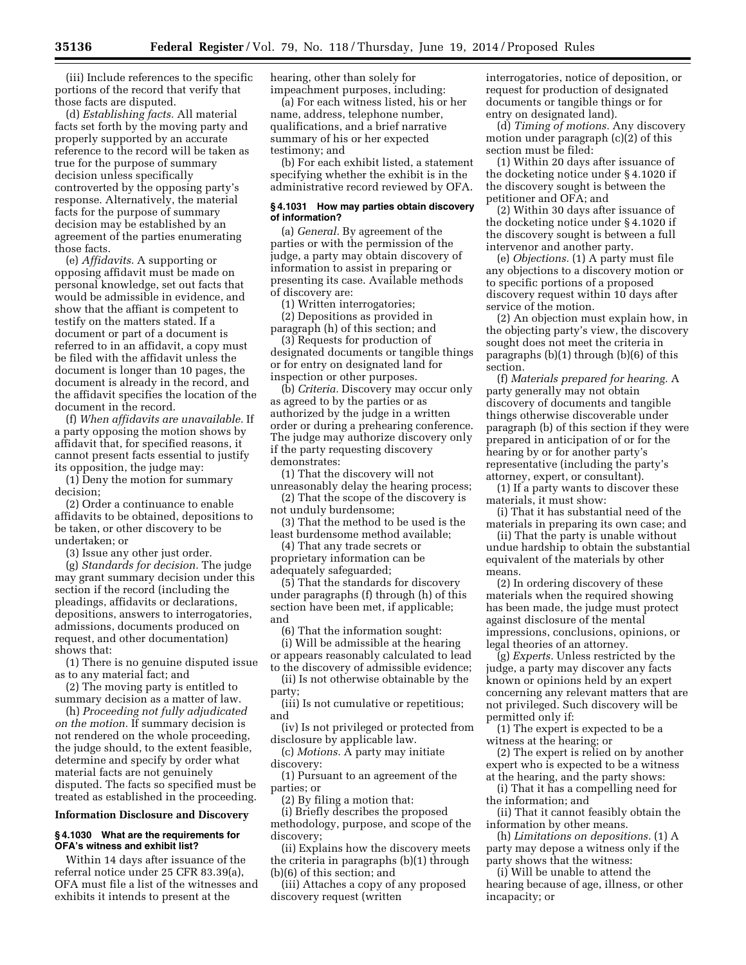(iii) Include references to the specific portions of the record that verify that those facts are disputed.

(d) *Establishing facts.* All material facts set forth by the moving party and properly supported by an accurate reference to the record will be taken as true for the purpose of summary decision unless specifically controverted by the opposing party's response. Alternatively, the material facts for the purpose of summary decision may be established by an agreement of the parties enumerating those facts.

(e) *Affidavits.* A supporting or opposing affidavit must be made on personal knowledge, set out facts that would be admissible in evidence, and show that the affiant is competent to testify on the matters stated. If a document or part of a document is referred to in an affidavit, a copy must be filed with the affidavit unless the document is longer than 10 pages, the document is already in the record, and the affidavit specifies the location of the document in the record.

(f) *When affidavits are unavailable.* If a party opposing the motion shows by affidavit that, for specified reasons, it cannot present facts essential to justify its opposition, the judge may:

(1) Deny the motion for summary decision;

(2) Order a continuance to enable affidavits to be obtained, depositions to be taken, or other discovery to be undertaken; or

(3) Issue any other just order.

(g) *Standards for decision.* The judge may grant summary decision under this section if the record (including the pleadings, affidavits or declarations, depositions, answers to interrogatories, admissions, documents produced on request, and other documentation) shows that:

(1) There is no genuine disputed issue as to any material fact; and

(2) The moving party is entitled to summary decision as a matter of law.

(h) *Proceeding not fully adjudicated on the motion.* If summary decision is not rendered on the whole proceeding, the judge should, to the extent feasible, determine and specify by order what material facts are not genuinely disputed. The facts so specified must be treated as established in the proceeding.

### **Information Disclosure and Discovery**

# **§ 4.1030 What are the requirements for OFA's witness and exhibit list?**

Within 14 days after issuance of the referral notice under 25 CFR 83.39(a), OFA must file a list of the witnesses and exhibits it intends to present at the

hearing, other than solely for impeachment purposes, including:

(a) For each witness listed, his or her name, address, telephone number, qualifications, and a brief narrative summary of his or her expected testimony; and

(b) For each exhibit listed, a statement specifying whether the exhibit is in the administrative record reviewed by OFA.

## **§ 4.1031 How may parties obtain discovery of information?**

(a) *General.* By agreement of the parties or with the permission of the judge, a party may obtain discovery of information to assist in preparing or presenting its case. Available methods of discovery are:

(1) Written interrogatories;

(2) Depositions as provided in paragraph (h) of this section; and

(3) Requests for production of designated documents or tangible things or for entry on designated land for inspection or other purposes.

(b) *Criteria.* Discovery may occur only as agreed to by the parties or as authorized by the judge in a written order or during a prehearing conference. The judge may authorize discovery only if the party requesting discovery demonstrates:

(1) That the discovery will not unreasonably delay the hearing process;

(2) That the scope of the discovery is not unduly burdensome;

(3) That the method to be used is the least burdensome method available;

(4) That any trade secrets or

proprietary information can be adequately safeguarded;

(5) That the standards for discovery under paragraphs (f) through (h) of this section have been met, if applicable; and

(6) That the information sought:

(i) Will be admissible at the hearing or appears reasonably calculated to lead

to the discovery of admissible evidence; (ii) Is not otherwise obtainable by the

party;

(iii) Is not cumulative or repetitious; and

(iv) Is not privileged or protected from disclosure by applicable law.

(c) *Motions.* A party may initiate discovery:

(1) Pursuant to an agreement of the parties; or

(2) By filing a motion that:

(i) Briefly describes the proposed methodology, purpose, and scope of the discovery;

(ii) Explains how the discovery meets the criteria in paragraphs (b)(1) through (b)(6) of this section; and

(iii) Attaches a copy of any proposed discovery request (written

interrogatories, notice of deposition, or request for production of designated documents or tangible things or for entry on designated land).

(d) *Timing of motions.* Any discovery motion under paragraph (c)(2) of this section must be filed:

(1) Within 20 days after issuance of the docketing notice under § 4.1020 if the discovery sought is between the petitioner and OFA; and

(2) Within 30 days after issuance of the docketing notice under § 4.1020 if the discovery sought is between a full intervenor and another party.

(e) *Objections.* (1) A party must file any objections to a discovery motion or to specific portions of a proposed discovery request within 10 days after service of the motion.

(2) An objection must explain how, in the objecting party's view, the discovery sought does not meet the criteria in paragraphs (b)(1) through (b)(6) of this section.

(f) *Materials prepared for hearing.* A party generally may not obtain discovery of documents and tangible things otherwise discoverable under paragraph (b) of this section if they were prepared in anticipation of or for the hearing by or for another party's representative (including the party's attorney, expert, or consultant).

(1) If a party wants to discover these materials, it must show:

(i) That it has substantial need of the materials in preparing its own case; and

(ii) That the party is unable without undue hardship to obtain the substantial equivalent of the materials by other means.

(2) In ordering discovery of these materials when the required showing has been made, the judge must protect against disclosure of the mental impressions, conclusions, opinions, or legal theories of an attorney.

(g) *Experts.* Unless restricted by the judge, a party may discover any facts known or opinions held by an expert concerning any relevant matters that are not privileged. Such discovery will be permitted only if:

(1) The expert is expected to be a witness at the hearing; or

(2) The expert is relied on by another expert who is expected to be a witness at the hearing, and the party shows:

(i) That it has a compelling need for the information; and

(ii) That it cannot feasibly obtain the information by other means.

(h) *Limitations on depositions.* (1) A party may depose a witness only if the party shows that the witness:

(i) Will be unable to attend the hearing because of age, illness, or other incapacity; or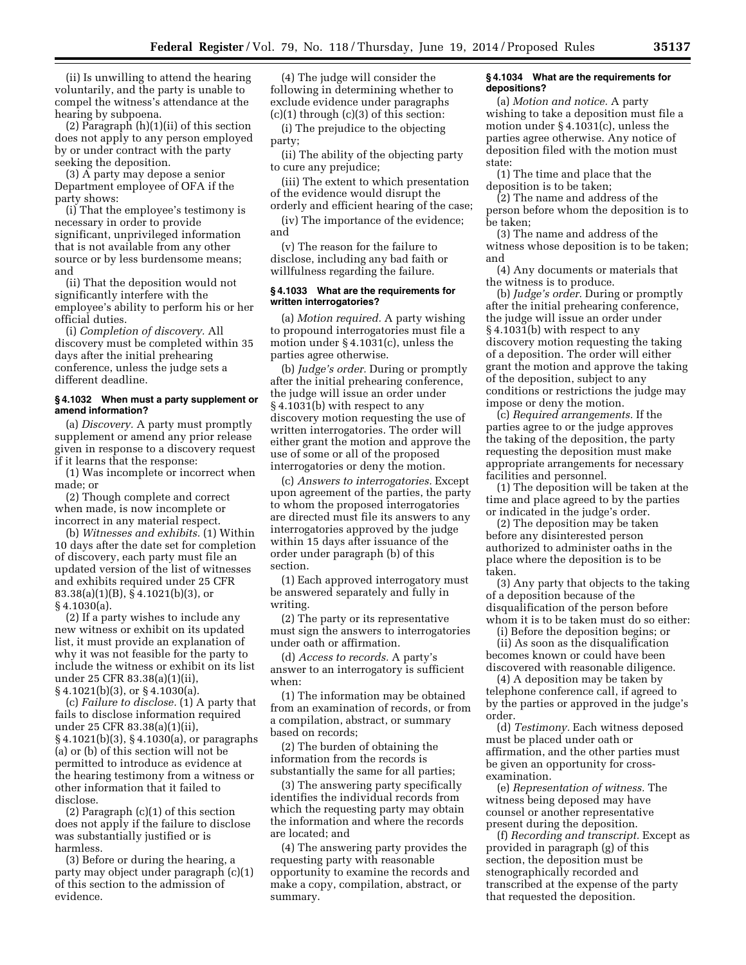(ii) Is unwilling to attend the hearing voluntarily, and the party is unable to compel the witness's attendance at the hearing by subpoena.

(2) Paragraph (h)(1)(ii) of this section does not apply to any person employed by or under contract with the party seeking the deposition.

(3) A party may depose a senior Department employee of OFA if the party shows:

(i) That the employee's testimony is necessary in order to provide significant, unprivileged information that is not available from any other source or by less burdensome means; and

(ii) That the deposition would not significantly interfere with the employee's ability to perform his or her official duties.

(i) *Completion of discovery.* All discovery must be completed within 35 days after the initial prehearing conference, unless the judge sets a different deadline.

## **§ 4.1032 When must a party supplement or amend information?**

(a) *Discovery.* A party must promptly supplement or amend any prior release given in response to a discovery request if it learns that the response:

(1) Was incomplete or incorrect when made; or

(2) Though complete and correct when made, is now incomplete or incorrect in any material respect.

(b) *Witnesses and exhibits.* (1) Within 10 days after the date set for completion of discovery, each party must file an updated version of the list of witnesses and exhibits required under 25 CFR 83.38(a)(1)(B), § 4.1021(b)(3), or § 4.1030(a).

(2) If a party wishes to include any new witness or exhibit on its updated list, it must provide an explanation of why it was not feasible for the party to include the witness or exhibit on its list under 25 CFR 83.38(a)(1)(ii), § 4.1021(b)(3), or § 4.1030(a).

(c) *Failure to disclose.* (1) A party that fails to disclose information required under 25 CFR 83.38(a)(1)(ii), § 4.1021(b)(3), § 4.1030(a), or paragraphs (a) or (b) of this section will not be permitted to introduce as evidence at the hearing testimony from a witness or other information that it failed to disclose.

(2) Paragraph (c)(1) of this section does not apply if the failure to disclose was substantially justified or is harmless.

(3) Before or during the hearing, a party may object under paragraph (c)(1) of this section to the admission of evidence.

(4) The judge will consider the following in determining whether to exclude evidence under paragraphs  $(c)(1)$  through  $(c)(3)$  of this section:

(i) The prejudice to the objecting party;

(ii) The ability of the objecting party to cure any prejudice;

(iii) The extent to which presentation of the evidence would disrupt the orderly and efficient hearing of the case;

(iv) The importance of the evidence; and

(v) The reason for the failure to disclose, including any bad faith or willfulness regarding the failure.

### **§ 4.1033 What are the requirements for written interrogatories?**

(a) *Motion required.* A party wishing to propound interrogatories must file a motion under § 4.1031(c), unless the parties agree otherwise.

(b) *Judge's order.* During or promptly after the initial prehearing conference, the judge will issue an order under § 4.1031(b) with respect to any discovery motion requesting the use of written interrogatories. The order will either grant the motion and approve the use of some or all of the proposed interrogatories or deny the motion.

(c) *Answers to interrogatories.* Except upon agreement of the parties, the party to whom the proposed interrogatories are directed must file its answers to any interrogatories approved by the judge within 15 days after issuance of the order under paragraph (b) of this section.

(1) Each approved interrogatory must be answered separately and fully in writing.

(2) The party or its representative must sign the answers to interrogatories under oath or affirmation.

(d) *Access to records.* A party's answer to an interrogatory is sufficient when:

(1) The information may be obtained from an examination of records, or from a compilation, abstract, or summary based on records;

(2) The burden of obtaining the information from the records is substantially the same for all parties;

(3) The answering party specifically identifies the individual records from which the requesting party may obtain the information and where the records are located; and

(4) The answering party provides the requesting party with reasonable opportunity to examine the records and make a copy, compilation, abstract, or summary.

#### **§ 4.1034 What are the requirements for depositions?**

(a) *Motion and notice.* A party wishing to take a deposition must file a motion under § 4.1031(c), unless the parties agree otherwise. Any notice of deposition filed with the motion must state:

(1) The time and place that the deposition is to be taken;

(2) The name and address of the person before whom the deposition is to be taken;

(3) The name and address of the witness whose deposition is to be taken; and

(4) Any documents or materials that the witness is to produce.

(b) *Judge's order.* During or promptly after the initial prehearing conference, the judge will issue an order under § 4.1031(b) with respect to any discovery motion requesting the taking of a deposition. The order will either grant the motion and approve the taking of the deposition, subject to any conditions or restrictions the judge may impose or deny the motion.

(c) *Required arrangements.* If the parties agree to or the judge approves the taking of the deposition, the party requesting the deposition must make appropriate arrangements for necessary facilities and personnel.

(1) The deposition will be taken at the time and place agreed to by the parties or indicated in the judge's order.

(2) The deposition may be taken before any disinterested person authorized to administer oaths in the place where the deposition is to be taken.

(3) Any party that objects to the taking of a deposition because of the disqualification of the person before whom it is to be taken must do so either:

(i) Before the deposition begins; or (ii) As soon as the disqualification becomes known or could have been discovered with reasonable diligence.

(4) A deposition may be taken by telephone conference call, if agreed to by the parties or approved in the judge's order.

(d) *Testimony.* Each witness deposed must be placed under oath or affirmation, and the other parties must be given an opportunity for crossexamination.

(e) *Representation of witness.* The witness being deposed may have counsel or another representative present during the deposition.

(f) *Recording and transcript.* Except as provided in paragraph (g) of this section, the deposition must be stenographically recorded and transcribed at the expense of the party that requested the deposition.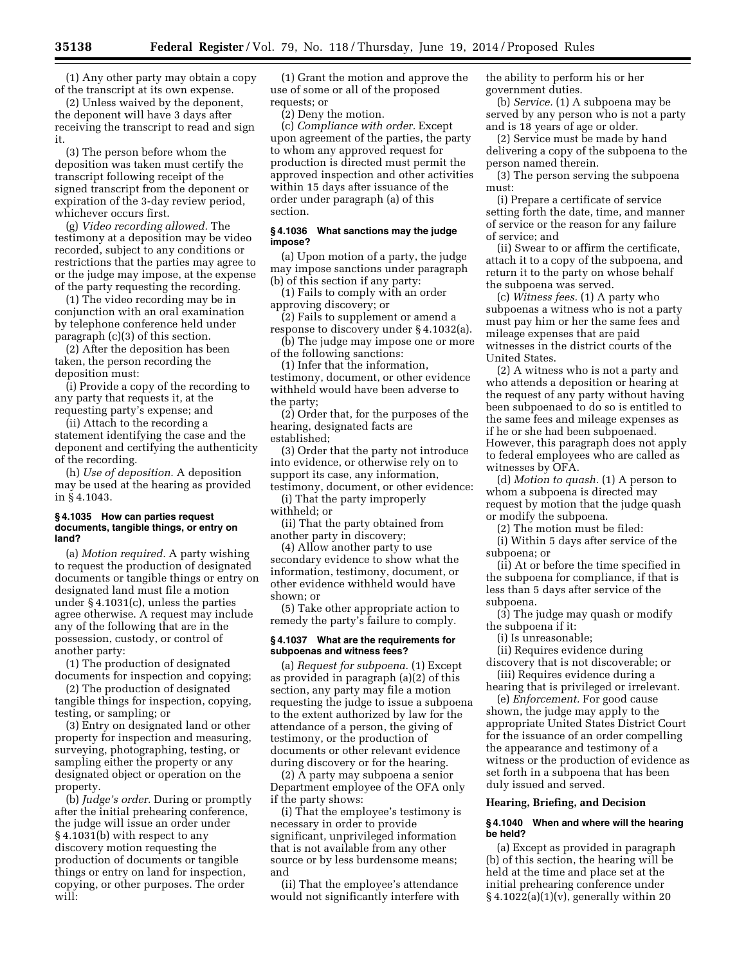(1) Any other party may obtain a copy of the transcript at its own expense.

(2) Unless waived by the deponent, the deponent will have 3 days after receiving the transcript to read and sign it.

(3) The person before whom the deposition was taken must certify the transcript following receipt of the signed transcript from the deponent or expiration of the 3-day review period, whichever occurs first.

(g) *Video recording allowed.* The testimony at a deposition may be video recorded, subject to any conditions or restrictions that the parties may agree to or the judge may impose, at the expense of the party requesting the recording.

(1) The video recording may be in conjunction with an oral examination by telephone conference held under paragraph (c)(3) of this section.

(2) After the deposition has been taken, the person recording the deposition must:

(i) Provide a copy of the recording to any party that requests it, at the requesting party's expense; and

(ii) Attach to the recording a statement identifying the case and the deponent and certifying the authenticity of the recording.

(h) *Use of deposition.* A deposition may be used at the hearing as provided in § 4.1043.

#### **§ 4.1035 How can parties request documents, tangible things, or entry on land?**

(a) *Motion required.* A party wishing to request the production of designated documents or tangible things or entry on designated land must file a motion under § 4.1031(c), unless the parties agree otherwise. A request may include any of the following that are in the possession, custody, or control of another party:

(1) The production of designated documents for inspection and copying;

(2) The production of designated tangible things for inspection, copying, testing, or sampling; or

(3) Entry on designated land or other property for inspection and measuring, surveying, photographing, testing, or sampling either the property or any designated object or operation on the property.

(b) *Judge's order.* During or promptly after the initial prehearing conference, the judge will issue an order under § 4.1031(b) with respect to any discovery motion requesting the production of documents or tangible things or entry on land for inspection, copying, or other purposes. The order will:

(1) Grant the motion and approve the use of some or all of the proposed requests; or

(2) Deny the motion.

(c) *Compliance with order.* Except upon agreement of the parties, the party to whom any approved request for production is directed must permit the approved inspection and other activities within 15 days after issuance of the order under paragraph (a) of this section.

# **§ 4.1036 What sanctions may the judge impose?**

(a) Upon motion of a party, the judge may impose sanctions under paragraph (b) of this section if any party:

(1) Fails to comply with an order approving discovery; or

(2) Fails to supplement or amend a response to discovery under § 4.1032(a).

(b) The judge may impose one or more of the following sanctions:

(1) Infer that the information, testimony, document, or other evidence withheld would have been adverse to the party;

(2) Order that, for the purposes of the hearing, designated facts are established;

(3) Order that the party not introduce into evidence, or otherwise rely on to support its case, any information, testimony, document, or other evidence:

(i) That the party improperly withheld; or

(ii) That the party obtained from another party in discovery;

(4) Allow another party to use secondary evidence to show what the information, testimony, document, or other evidence withheld would have shown; or

(5) Take other appropriate action to remedy the party's failure to comply.

#### **§ 4.1037 What are the requirements for subpoenas and witness fees?**

(a) *Request for subpoena.* (1) Except as provided in paragraph (a)(2) of this section, any party may file a motion requesting the judge to issue a subpoena to the extent authorized by law for the attendance of a person, the giving of testimony, or the production of documents or other relevant evidence during discovery or for the hearing.

(2) A party may subpoena a senior Department employee of the OFA only if the party shows:

(i) That the employee's testimony is necessary in order to provide significant, unprivileged information that is not available from any other source or by less burdensome means; and

(ii) That the employee's attendance would not significantly interfere with

the ability to perform his or her government duties.

(b) *Service.* (1) A subpoena may be served by any person who is not a party and is 18 years of age or older.

(2) Service must be made by hand delivering a copy of the subpoena to the person named therein.

(3) The person serving the subpoena must:

(i) Prepare a certificate of service setting forth the date, time, and manner of service or the reason for any failure of service; and

(ii) Swear to or affirm the certificate, attach it to a copy of the subpoena, and return it to the party on whose behalf the subpoena was served.

(c) *Witness fees.* (1) A party who subpoenas a witness who is not a party must pay him or her the same fees and mileage expenses that are paid witnesses in the district courts of the United States.

(2) A witness who is not a party and who attends a deposition or hearing at the request of any party without having been subpoenaed to do so is entitled to the same fees and mileage expenses as if he or she had been subpoenaed. However, this paragraph does not apply to federal employees who are called as witnesses by OFA.

(d) *Motion to quash.* (1) A person to whom a subpoena is directed may request by motion that the judge quash or modify the subpoena.

(2) The motion must be filed:

(i) Within 5 days after service of the subpoena; or

(ii) At or before the time specified in the subpoena for compliance, if that is less than 5 days after service of the subpoena.

(3) The judge may quash or modify the subpoena if it:

(i) Is unreasonable;

(ii) Requires evidence during discovery that is not discoverable; or

(iii) Requires evidence during a hearing that is privileged or irrelevant.

(e) *Enforcement.* For good cause shown, the judge may apply to the appropriate United States District Court for the issuance of an order compelling the appearance and testimony of a witness or the production of evidence as set forth in a subpoena that has been duly issued and served.

#### **Hearing, Briefing, and Decision**

#### **§ 4.1040 When and where will the hearing be held?**

(a) Except as provided in paragraph (b) of this section, the hearing will be held at the time and place set at the initial prehearing conference under  $§ 4.1022(a)(1)(v)$ , generally within 20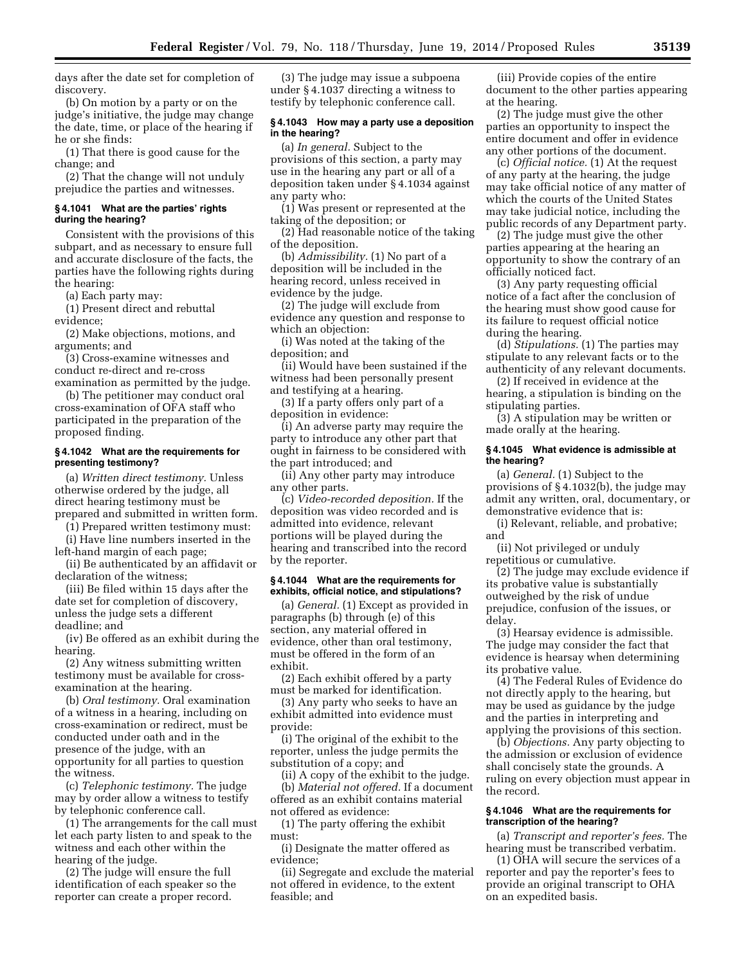days after the date set for completion of discovery.

(b) On motion by a party or on the judge's initiative, the judge may change the date, time, or place of the hearing if he or she finds:

(1) That there is good cause for the change; and

(2) That the change will not unduly prejudice the parties and witnesses.

### **§ 4.1041 What are the parties' rights during the hearing?**

Consistent with the provisions of this subpart, and as necessary to ensure full and accurate disclosure of the facts, the parties have the following rights during the hearing:

(a) Each party may:

(1) Present direct and rebuttal evidence;

(2) Make objections, motions, and arguments; and

(3) Cross-examine witnesses and conduct re-direct and re-cross examination as permitted by the judge.

(b) The petitioner may conduct oral cross-examination of OFA staff who participated in the preparation of the proposed finding.

### **§ 4.1042 What are the requirements for presenting testimony?**

(a) *Written direct testimony.* Unless otherwise ordered by the judge, all direct hearing testimony must be prepared and submitted in written form.

(1) Prepared written testimony must:

(i) Have line numbers inserted in the left-hand margin of each page;

(ii) Be authenticated by an affidavit or declaration of the witness;

(iii) Be filed within 15 days after the date set for completion of discovery, unless the judge sets a different deadline; and

(iv) Be offered as an exhibit during the hearing.

(2) Any witness submitting written testimony must be available for crossexamination at the hearing.

(b) *Oral testimony.* Oral examination of a witness in a hearing, including on cross-examination or redirect, must be conducted under oath and in the presence of the judge, with an opportunity for all parties to question the witness.

(c) *Telephonic testimony.* The judge may by order allow a witness to testify by telephonic conference call.

(1) The arrangements for the call must let each party listen to and speak to the witness and each other within the hearing of the judge.

(2) The judge will ensure the full identification of each speaker so the reporter can create a proper record.

(3) The judge may issue a subpoena under § 4.1037 directing a witness to testify by telephonic conference call.

#### **§ 4.1043 How may a party use a deposition in the hearing?**

(a) *In general.* Subject to the provisions of this section, a party may use in the hearing any part or all of a deposition taken under § 4.1034 against any party who:

(1) Was present or represented at the taking of the deposition; or

(2) Had reasonable notice of the taking of the deposition.

(b) *Admissibility.* (1) No part of a deposition will be included in the hearing record, unless received in evidence by the judge.

(2) The judge will exclude from evidence any question and response to which an objection:

(i) Was noted at the taking of the deposition; and

(ii) Would have been sustained if the witness had been personally present and testifying at a hearing.

(3) If a party offers only part of a deposition in evidence:

(i) An adverse party may require the party to introduce any other part that ought in fairness to be considered with the part introduced; and

(ii) Any other party may introduce any other parts.

(c) *Video-recorded deposition.* If the deposition was video recorded and is admitted into evidence, relevant portions will be played during the hearing and transcribed into the record by the reporter.

### **§ 4.1044 What are the requirements for exhibits, official notice, and stipulations?**

(a) *General.* (1) Except as provided in paragraphs (b) through (e) of this section, any material offered in evidence, other than oral testimony, must be offered in the form of an exhibit.

(2) Each exhibit offered by a party must be marked for identification.

(3) Any party who seeks to have an exhibit admitted into evidence must provide:

(i) The original of the exhibit to the reporter, unless the judge permits the substitution of a copy; and

(ii) A copy of the exhibit to the judge. (b) *Material not offered.* If a document offered as an exhibit contains material not offered as evidence:

(1) The party offering the exhibit must:

(i) Designate the matter offered as evidence;

(ii) Segregate and exclude the material not offered in evidence, to the extent feasible; and

(iii) Provide copies of the entire document to the other parties appearing at the hearing.

(2) The judge must give the other parties an opportunity to inspect the entire document and offer in evidence any other portions of the document.

(c) *Official notice.* (1) At the request of any party at the hearing, the judge may take official notice of any matter of which the courts of the United States may take judicial notice, including the public records of any Department party.

(2) The judge must give the other parties appearing at the hearing an opportunity to show the contrary of an officially noticed fact.

(3) Any party requesting official notice of a fact after the conclusion of the hearing must show good cause for its failure to request official notice during the hearing.

(d) *Stipulations.* (1) The parties may stipulate to any relevant facts or to the authenticity of any relevant documents.

(2) If received in evidence at the hearing, a stipulation is binding on the stipulating parties.

(3) A stipulation may be written or made orally at the hearing.

# **§ 4.1045 What evidence is admissible at the hearing?**

(a) *General.* (1) Subject to the provisions of § 4.1032(b), the judge may admit any written, oral, documentary, or demonstrative evidence that is:

(i) Relevant, reliable, and probative; and

(ii) Not privileged or unduly repetitious or cumulative.

(2) The judge may exclude evidence if its probative value is substantially outweighed by the risk of undue prejudice, confusion of the issues, or delay.

(3) Hearsay evidence is admissible. The judge may consider the fact that evidence is hearsay when determining its probative value.

(4) The Federal Rules of Evidence do not directly apply to the hearing, but may be used as guidance by the judge and the parties in interpreting and applying the provisions of this section.

(b) *Objections.* Any party objecting to the admission or exclusion of evidence shall concisely state the grounds. A ruling on every objection must appear in the record.

# **§ 4.1046 What are the requirements for transcription of the hearing?**

(a) *Transcript and reporter's fees.* The hearing must be transcribed verbatim.

(1) OHA will secure the services of a reporter and pay the reporter's fees to provide an original transcript to OHA on an expedited basis.